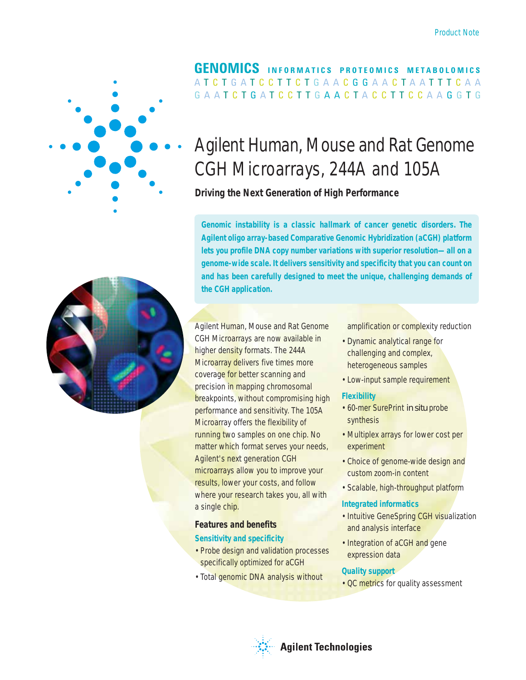

## A T C T G A T C C T T C T G A A C G G A A C T A A T T T C A A G A A T C T G A T C C T T G **A A C** T A C C T T C C A A G G T G **GENOMICS INFORMATICS PROTEOMICS METABOLOMICS**

# Agilent Human, Mouse and Rat Genome CGH Microarrays, 244A and 105A

## **Driving the Next Generation of High Performance**

**Genomic instability is a classic hallmark of cancer genetic disorders. The Agilent oligo array-based Comparative Genomic Hybridization (aCGH) platform lets you profile DNA copy number variations with superior resolution—all on a genome-wide scale. It delivers sensitivity and specificity that you can count on and has been carefully designed to meet the unique, challenging demands of the CGH application.**



Agilent Human, Mouse and Rat Genome CGH Microarrays are now available in higher density formats. The 244A Microarray delivers five times more coverage for better scanning and precision in mapping chromosomal breakpoints, without compromising high performance and sensitivity. The 105A Microarray offers the flexibility of running two samples on one chip. No matter which format serves your needs, Agilent's next generation CGH microarrays allow you to improve your results, lower your costs, and follow where your research takes you, all with a single chip.

## **Features and benefits**

#### **Sensitivity and specificity**

- Probe design and validation processes specifically optimized for aCGH
- Total genomic DNA analysis without

amplification or complexity reduction

- Dynamic analytical range for challenging and complex, heterogeneous samples
- Low-input sample requirement

#### **Flexibility**

- 60-mer SurePrint *in situ* probe synthesis
- Multiplex arrays for lower cost per experiment
- Choice of genome-wide design and custom zoom-in content
- Scalable, high-throughput platform

#### **Integrated informatics**

- Intuitive GeneSpring CGH visualization and analysis interface
- Integration of aCGH and gene expression data

#### **Quality support**

• QC metrics for quality assessment

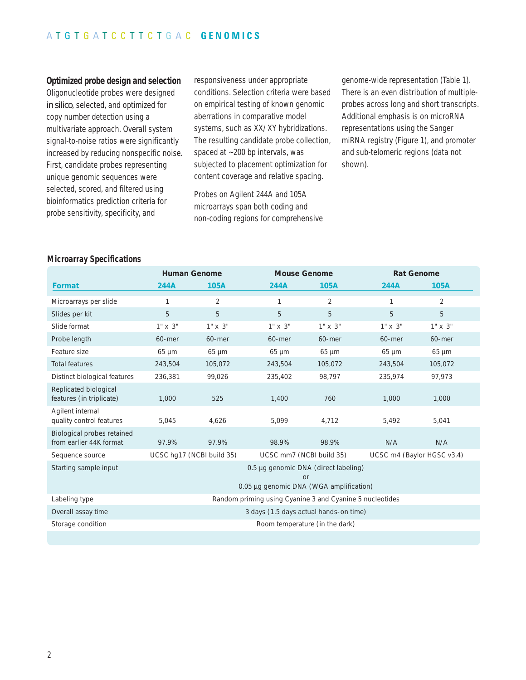#### **Optimized probe design and selection**

Oligonucleotide probes were designed *in silico*, selected, and optimized for copy number detection using a multivariate approach. Overall system signal-to-noise ratios were significantly increased by reducing nonspecific noise. First, candidate probes representing unique genomic sequences were selected, scored, and filtered using bioinformatics prediction criteria for probe sensitivity, specificity, and

responsiveness under appropriate conditions. Selection criteria were based on empirical testing of known genomic aberrations in comparative model systems, such as XX/XY hybridizations. The resulting candidate probe collection, spaced at ~200 bp intervals, was subjected to placement optimization for content coverage and relative spacing.

Probes on Agilent 244A and 105A microarrays span both coding and non-coding regions for comprehensive genome-wide representation (Table 1). There is an even distribution of multipleprobes across long and short transcripts. Additional emphasis is on microRNA representations using the Sanger miRNA registry (Figure 1), and promoter and sub-telomeric regions (data not shown).

#### **Microarray Specifications**

|                                                       | <b>Human Genome</b>                                                                   |                           | <b>Mouse Genome</b>      |            | <b>Rat Genome</b>           |            |  |
|-------------------------------------------------------|---------------------------------------------------------------------------------------|---------------------------|--------------------------|------------|-----------------------------|------------|--|
| Format                                                | 244A                                                                                  | 105A                      | 244A                     | 105A       | 244A                        | 105A       |  |
| Microarrays per slide                                 | 1                                                                                     | 2                         | 1                        | 2          | 1                           | 2          |  |
| Slides per kit                                        | 5                                                                                     | 5                         | 5                        | 5          | 5                           | 5          |  |
| Slide format                                          | 1" x 3"                                                                               | 1" x 3"                   | $1'' \times 3''$         | 1" x 3"    | $1'' \times 3''$            | 1" x 3"    |  |
| Probe length                                          | 60-mer                                                                                | 60-mer                    | 60-mer                   | 60-mer     | 60-mer                      | 60-mer     |  |
| Feature size                                          | $65 \mu m$                                                                            | $65 \mu m$                | $65 \mu m$               | $65 \mu m$ | $65 \mu m$                  | $65 \mu m$ |  |
| <b>Total features</b>                                 | 243,504                                                                               | 105,072                   | 243,504                  | 105,072    | 243,504                     | 105,072    |  |
| Distinct biological features                          | 236,381                                                                               | 99,026                    | 235,402                  | 98,797     | 235,974                     | 97,973     |  |
| Replicated biological<br>features (in triplicate)     | 1,000                                                                                 | 525                       | 1,400                    | 760        | 1,000                       | 1,000      |  |
| Agilent internal<br>quality control features          | 5,045                                                                                 | 4,626                     | 5,099                    | 4,712      | 5,492                       | 5,041      |  |
| Biological probes retained<br>from earlier 44K format | 97.9%                                                                                 | 97.9%                     | 98.9%                    | 98.9%      | N/A                         | N/A        |  |
| Sequence source                                       |                                                                                       | UCSC hq17 (NCBI build 35) | UCSC mm7 (NCBI build 35) |            | UCSC rn4 (Baylor HGSC v3.4) |            |  |
| Starting sample input                                 | 0.5 µg genomic DNA (direct labeling)<br>or<br>0.05 µg genomic DNA (WGA amplification) |                           |                          |            |                             |            |  |
| Labeling type                                         | Random priming using Cyanine 3 and Cyanine 5 nucleotides                              |                           |                          |            |                             |            |  |
| Overall assay time                                    | 3 days (1.5 days actual hands-on time)                                                |                           |                          |            |                             |            |  |
| Storage condition                                     | Room temperature (in the dark)                                                        |                           |                          |            |                             |            |  |
|                                                       |                                                                                       |                           |                          |            |                             |            |  |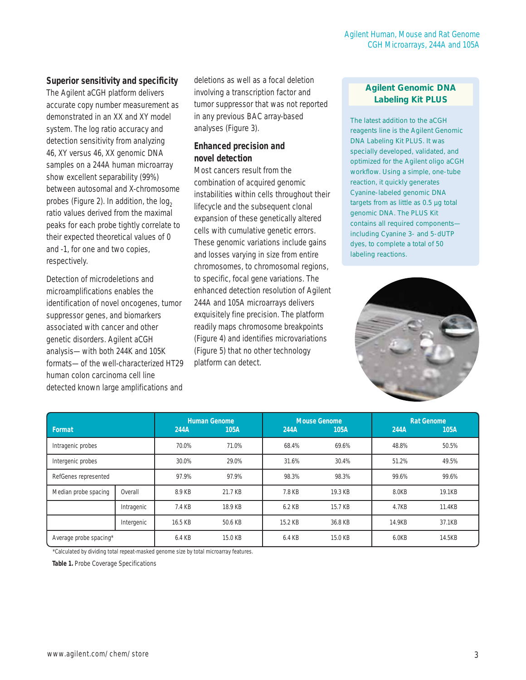## **Superior sensitivity and specificity**

The Agilent aCGH platform delivers accurate copy number measurement as demonstrated in an XX and XY model system. The log ratio accuracy and detection sensitivity from analyzing 46, XY versus 46, XX genomic DNA samples on a 244A human microarray show excellent separability (99%) between autosomal and X-chromosome probes (Figure 2). In addition, the  $log<sub>2</sub>$ ratio values derived from the maximal peaks for each probe tightly correlate to their expected theoretical values of 0 and -1, for one and two copies, respectively.

Detection of microdeletions and microamplifications enables the identification of novel oncogenes, tumor suppressor genes, and biomarkers associated with cancer and other genetic disorders. Agilent aCGH analysis—with both 244K and 105K formats—of the well-characterized HT29 human colon carcinoma cell line detected known large amplifications and deletions as well as a focal deletion involving a transcription factor and tumor suppressor that was not reported in any previous BAC array-based analyses (Figure 3).

## **Enhanced precision and novel detection**

Most cancers result from the combination of acquired genomic instabilities within cells throughout their lifecycle and the subsequent clonal expansion of these genetically altered cells with cumulative genetic errors. These genomic variations include gains and losses varying in size from entire chromosomes, to chromosomal regions, to specific, focal gene variations. The enhanced detection resolution of Agilent 244A and 105A microarrays delivers exquisitely fine precision. The platform readily maps chromosome breakpoints (Figure 4) and identifies microvariations (Figure 5) that no other technology platform can detect.

## **Agilent Genomic DNA Labeling Kit PLUS**

The latest addition to the aCGH reagents line is the Agilent Genomic DNA Labeling Kit PLUS. It was specially developed, validated, and optimized for the Agilent oligo aCGH workflow. Using a simple, one-tube reaction, it quickly generates Cyanine-labeled genomic DNA targets from as little as 0.5 µg total genomic DNA. The PLUS Kit contains all required components including Cyanine 3- and 5-dUTP dyes, to complete a total of 50 labeling reactions.



| Format                 |            | 244A    | <b>Human Genome</b><br>105A | 244A    | <b>Mouse Genome</b><br>105A | 244A   | <b>Rat Genome</b><br>105A |
|------------------------|------------|---------|-----------------------------|---------|-----------------------------|--------|---------------------------|
| Intragenic probes      |            | 70.0%   | 71.0%                       | 68.4%   | 69.6%                       | 48.8%  | 50.5%                     |
| Intergenic probes      |            | 30.0%   | 29.0%                       | 31.6%   | 30.4%                       | 51.2%  | 49.5%                     |
| RefGenes represented   |            | 97.9%   | 97.9%                       | 98.3%   | 98.3%                       | 99.6%  | 99.6%                     |
| Median probe spacing   | Overall    | 8.9 KB  | 21.7 KB                     | 7.8 KB  | 19.3 KB                     | 8.0KB  | 19.1KB                    |
|                        | Intragenic | 7.4 KB  | 18.9 KB                     | 6.2 KB  | 15.7 KB                     | 4.7KB  | 11.4KB                    |
|                        | Intergenic | 16.5 KB | 50.6 KB                     | 15.2 KB | 36.8 KB                     | 14.9KB | 37.1KB                    |
| Average probe spacing* |            | 6.4 KB  | 15.0 KB                     | 6.4 KB  | 15.0 KB                     | 6.0KB  | 14.5KB                    |

\*Calculated by dividing total repeat-masked genome size by total microarray features.

**Table 1.** Probe Coverage Specifications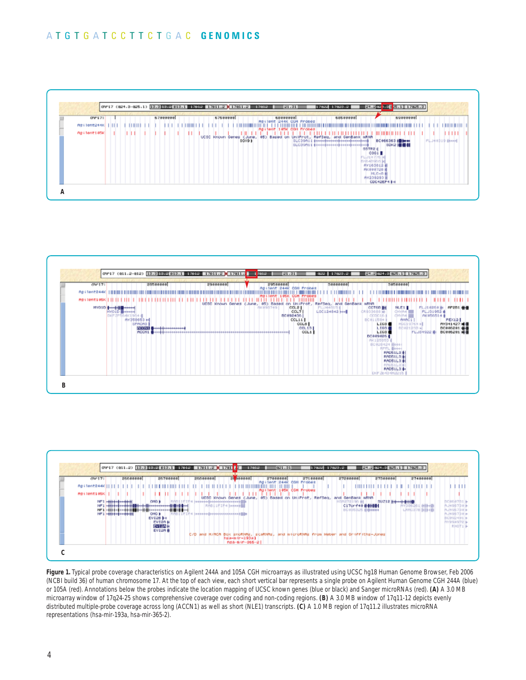## A T G T G A T C C T T C T G A C **GENOMICS**







**Figure 1.** Typical probe coverage characteristics on Agilent 244A and 105A CGH microarrays as illustrated using UCSC hg18 Human Genome Browser, Feb 2006 (NCBI build 36) of human chromosome 17. At the top of each view, each short vertical bar represents a single probe on Agilent Human Genome CGH 244A (blue) or 105A (red). Annotations below the probes indicate the location mapping of UCSC known genes (blue or black) and Sanger microRNAs (red). **(A)** A 3.0 MB microarray window of 17q24-25 shows comprehensive coverage over coding and non-coding regions. **(B)** A 3.0 MB window of 17q11-12 depicts evenly distributed multiple-probe coverage across long (ACCN1) as well as short (NLE1) transcripts. **(C)** A 1.0 MB region of 17q11.2 illustrates microRNA representations (hsa-mir-193a, hsa-mir-365-2).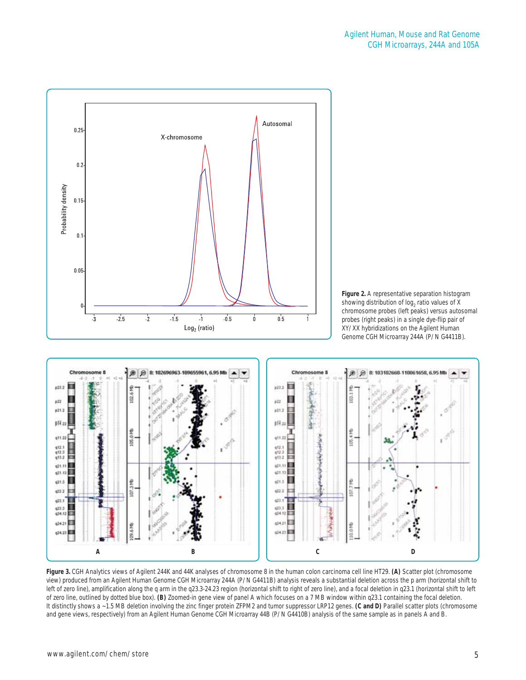





**Figure 3.** CGH Analytics views of Agilent 244K and 44K analyses of chromosome 8 in the human colon carcinoma cell line HT29. **(A)** Scatter plot (chromosome view) produced from an Agilent Human Genome CGH Microarray 244A (P/N G4411B) analysis reveals a substantial deletion across the p arm (horizontal shift to left of zero line), amplification along the q arm in the q23.3-24.23 region (horizontal shift to right of zero line), and a focal deletion in q23.1 (horizontal shift to left of zero line, outlined by dotted blue box). **(B)** Zoomed-in gene view of panel A which focuses on a 7 MB window within q23.1 containing the focal deletion. It distinctly shows a ~1.5 MB deletion involving the zinc finger protein ZFPM2 and tumor suppressor LRP12 genes. **(C and D)** Parallel scatter plots (chromosome and gene views, respectively) from an Agilent Human Genome CGH Microarray 44B (P/N G4410B) analysis of the same sample as in panels A and B.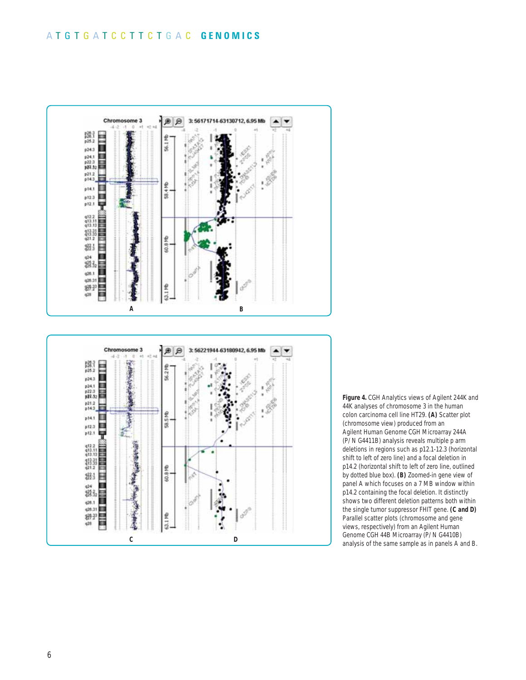## A T G T G A T C C T T C T G A C **GENOMICS**



**C D**

60.8 Mb

63.1 Mb

**Figure 4.** CGH Analytics views of Agilent 244K and 44K analyses of chromosome 3 in the human colon carcinoma cell line HT29. **(A)** Scatter plot (chromosome view) produced from an Agilent Human Genome CGH Microarray 244A (P/N G4411B) analysis reveals multiple p arm deletions in regions such as p12.1-12.3 (horizontal shift to left of zero line) and a focal deletion in p14.2 (horizontal shift to left of zero line, outlined by dotted blue box). **(B)** Zoomed-in gene view of panel A which focuses on a 7 MB window within p14.2 containing the focal deletion. It distinctly shows two different deletion patterns both within the single tumor suppressor FHIT gene. **(C and D)** Parallel scatter plots (chromosome and gene views, respectively) from an Agilent Human Genome CGH 44B Microarray (P/N G4410B) analysis of the same sample as in panels A and B.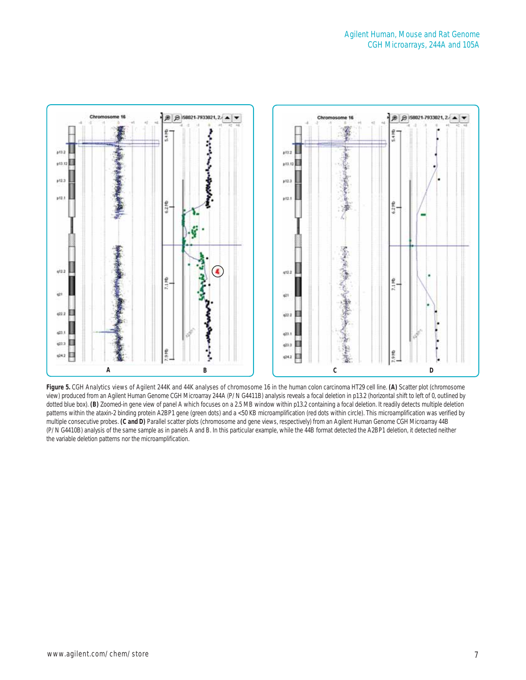

**Figure 5.** CGH Analytics views of Agilent 244K and 44K analyses of chromosome 16 in the human colon carcinoma HT29 cell line. **(A)** Scatter plot (chromosome view) produced from an Agilent Human Genome CGH Microarray 244A (P/N G4411B) analysis reveals a focal deletion in p13.2 (horizontal shift to left of 0, outlined by dotted blue box). **(B)** Zoomed-in gene view of panel A which focuses on a 2.5 MB window within p13.2 containing a focal deletion. It readily detects multiple deletion patterns within the ataxin-2 binding protein A2BP1 gene (green dots) and a <50 KB microamplification (red dots within circle). This microamplification was verified by multiple consecutive probes. **(C and D)** Parallel scatter plots (chromosome and gene views, respectively) from an Agilent Human Genome CGH Microarray 44B (P/N G4410B) analysis of the same sample as in panels A and B. In this particular example, while the 44B format detected the A2BP1 deletion, it detected neither the variable deletion patterns nor the microamplification.